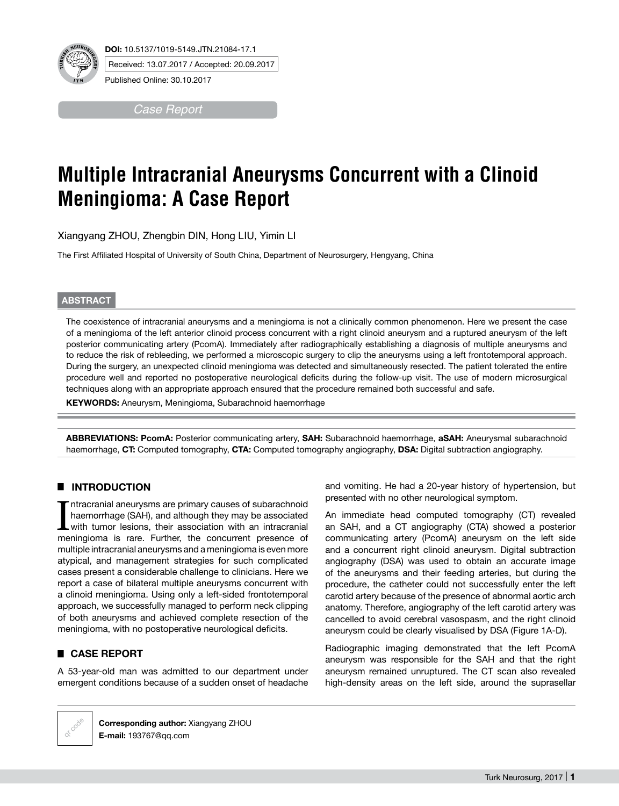

Published Online: 30.10.2017

*Case Report*

# **Multiple Intracranial Aneurysms Concurrent with a Clinoid Meningioma: A Case Report**

Xiangyang ZHOU, Zhengbin DIN, Hong LIU, Yimin LI

The First Affiliated Hospital of University of South China, Department of Neurosurgery, Hengyang, China

#### **ABSTRACT**

The coexistence of intracranial aneurysms and a meningioma is not a clinically common phenomenon. Here we present the case of a meningioma of the left anterior clinoid process concurrent with a right clinoid aneurysm and a ruptured aneurysm of the left posterior communicating artery (PcomA). Immediately after radiographically establishing a diagnosis of multiple aneurysms and to reduce the risk of rebleeding, we performed a microscopic surgery to clip the aneurysms using a left frontotemporal approach. During the surgery, an unexpected clinoid meningioma was detected and simultaneously resected. The patient tolerated the entire procedure well and reported no postoperative neurological deficits during the follow-up visit. The use of modern microsurgical techniques along with an appropriate approach ensured that the procedure remained both successful and safe.

**KEYWORDS:** Aneurysm, Meningioma, Subarachnoid haemorrhage

**ABBREVIATIONS: PcomA:** Posterior communicating artery, **SAH:** Subarachnoid haemorrhage, **aSAH:** Aneurysmal subarachnoid haemorrhage, **CT:** Computed tomography, **CTA:** Computed tomography angiography, **DSA:** Digital subtraction angiography.

## █ **INTRODUCTION**

Intracranial aneurysms are primary causes of subarachnoid haemorrhage (SAH), and although they may be associated with tumor lesions, their association with an intracranial meningioma is rare. Further, the concurrent presen ntracranial aneurysms are primary causes of subarachnoid haemorrhage (SAH), and although they may be associated with tumor lesions, their association with an intracranial multiple intracranial aneurysms and a meningioma is even more atypical, and management strategies for such complicated cases present a considerable challenge to clinicians. Here we report a case of bilateral multiple aneurysms concurrent with a clinoid meningioma. Using only a left-sided frontotemporal approach, we successfully managed to perform neck clipping of both aneurysms and achieved complete resection of the meningioma, with no postoperative neurological deficits.

## █ **CASE REPORT**

A 53-year-old man was admitted to our department under emergent conditions because of a sudden onset of headache

and vomiting. He had a 20-year history of hypertension, but presented with no other neurological symptom.

An immediate head computed tomography (CT) revealed an SAH, and a CT angiography (CTA) showed a posterior communicating artery (PcomA) aneurysm on the left side and a concurrent right clinoid aneurysm. Digital subtraction angiography (DSA) was used to obtain an accurate image of the aneurysms and their feeding arteries, but during the procedure, the catheter could not successfully enter the left carotid artery because of the presence of abnormal aortic arch anatomy. Therefore, angiography of the left carotid artery was cancelled to avoid cerebral vasospasm, and the right clinoid aneurysm could be clearly visualised by DSA (Figure 1a-D).

Radiographic imaging demonstrated that the left PcomA aneurysm was responsible for the SAH and that the right aneurysm remained unruptured. The CT scan also revealed high-density areas on the left side, around the suprasellar



**Corresponding author:** Xiangyang ZHOU **E-mail:** 193767@qq.com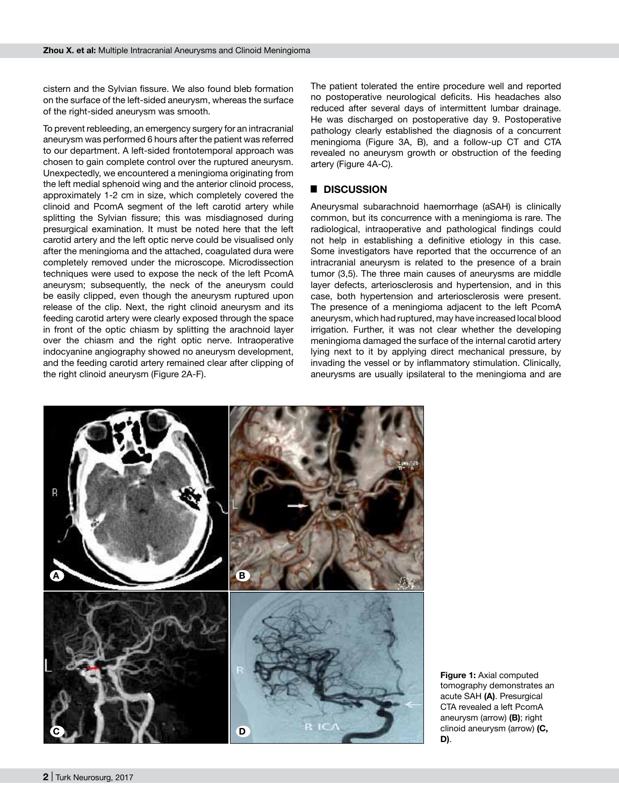cistern and the Sylvian fissure. We also found bleb formation on the surface of the left-sided aneurysm, whereas the surface of the right-sided aneurysm was smooth.

To prevent rebleeding, an emergency surgery for an intracranial aneurysm was performed 6 hours after the patient was referred to our department. A left-sided frontotemporal approach was chosen to gain complete control over the ruptured aneurysm. Unexpectedly, we encountered a meningioma originating from the left medial sphenoid wing and the anterior clinoid process, approximately 1-2 cm in size, which completely covered the clinoid and PcomA segment of the left carotid artery while splitting the Sylvian fissure; this was misdiagnosed during presurgical examination. It must be noted here that the left carotid artery and the left optic nerve could be visualised only after the meningioma and the attached, coagulated dura were completely removed under the microscope. Microdissection techniques were used to expose the neck of the left PcomA aneurysm; subsequently, the neck of the aneurysm could be easily clipped, even though the aneurysm ruptured upon release of the clip. Next, the right clinoid aneurysm and its feeding carotid artery were clearly exposed through the space in front of the optic chiasm by splitting the arachnoid layer over the chiasm and the right optic nerve. Intraoperative indocyanine angiography showed no aneurysm development, and the feeding carotid artery remained clear after clipping of the right clinoid aneurysm (Figure 2a-f).

The patient tolerated the entire procedure well and reported no postoperative neurological deficits. His headaches also reduced after several days of intermittent lumbar drainage. He was discharged on postoperative day 9. Postoperative pathology clearly established the diagnosis of a concurrent meningioma (Figure 3A, B), and a follow-up CT and CTA revealed no aneurysm growth or obstruction of the feeding artery (Figure 4a-c).

### █ **DISCUSSION**

Aneurysmal subarachnoid haemorrhage (aSAH) is clinically common, but its concurrence with a meningioma is rare. The radiological, intraoperative and pathological findings could not help in establishing a definitive etiology in this case. Some investigators have reported that the occurrence of an intracranial aneurysm is related to the presence of a brain tumor (3,5). The three main causes of aneurysms are middle layer defects, arteriosclerosis and hypertension, and in this case, both hypertension and arteriosclerosis were present. The presence of a meningioma adjacent to the left PcomA aneurysm, which had ruptured, may have increased local blood irrigation. Further, it was not clear whether the developing meningioma damaged the surface of the internal carotid artery lying next to it by applying direct mechanical pressure, by invading the vessel or by inflammatory stimulation. Clinically, aneurysms are usually ipsilateral to the meningioma and are



**Figure 1:** Axial computed tomography demonstrates an acute SAH **(a)**. Presurgical CTA revealed a left PcomA aneurysm (arrow) **(b)**; right clinoid aneurysm (arrow) **(c, d)**.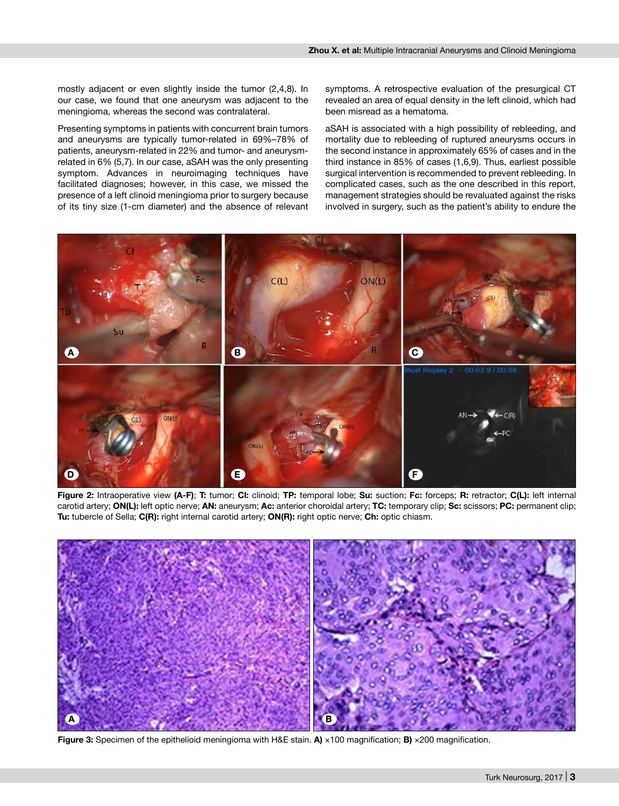mostly adjacent or even slightly inside the tumor (2,4,8). In our case, we found that one aneurysm was adjacent to the meningioma, whereas the second was contralateral.

Presenting symptoms in patients with concurrent brain tumors and aneurysms are typically tumor-related in 69%–78% of patients, aneurysm-related in 22% and tumor- and aneurysmrelated in 6% (5,7). In our case, aSAH was the only presenting symptom. Advances in neuroimaging techniques have facilitated diagnoses; however, in this case, we missed the presence of a left clinoid meningioma prior to surgery because of its tiny size (1-cm diameter) and the absence of relevant symptoms. A retrospective evaluation of the presurgical CT revealed an area of equal density in the left clinoid, which had been misread as a hematoma.

aSAH is associated with a high possibility of rebleeding, and mortality due to rebleeding of ruptured aneurysms occurs in the second instance in approximately 65% of cases and in the third instance in 85% of cases (1,6,9). Thus, earliest possible surgical intervention is recommended to prevent rebleeding. In complicated cases, such as the one described in this report, management strategies should be revaluated against the risks involved in surgery, such as the patient's ability to endure the



**Figure 2:** Intraoperative view **(a-f)**; **T:** tumor; **Cl:** clinoid; **TP:** temporal lobe; **Su:** suction; **Fc:** forceps; **R:** retractor; **C(L):** left internal carotid artery; **ON(L):** left optic nerve; **AN:** aneurysm; **Ac:** anterior choroidal artery; **TC:** temporary clip; **Sc:** scissors; **PC:** permanent clip; **Tu:** tubercle of Sella; **C(R):** right internal carotid artery; **ON(R):** right optic nerve; **Ch:** optic chiasm.



**Figure 3:** Specimen of the epithelioid meningioma with H&E stain. **a)** ×100 magnification; **b)** ×200 magnification.